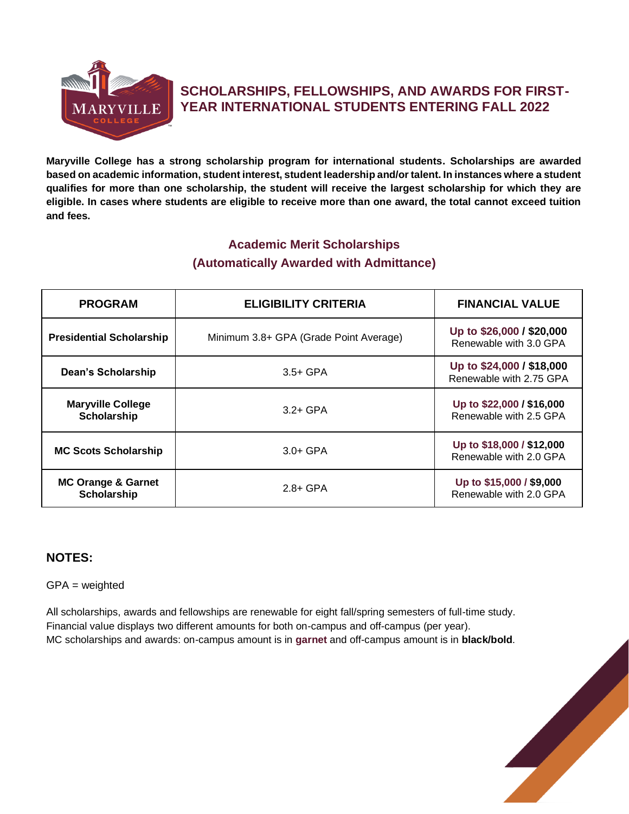

# **SCHOLARSHIPS, FELLOWSHIPS, AND AWARDS FOR FIRST-YEAR INTERNATIONAL STUDENTS ENTERING FALL 2022**

**Maryville College has a strong scholarship program for international students. Scholarships are awarded based on academic information, student interest, student leadership and/or talent. In instances where a student qualifies for more than one scholarship, the student will receive the largest scholarship for which they are eligible. In cases where students are eligible to receive more than one award, the total cannot exceed tuition and fees.** 

## **Academic Merit Scholarships (Automatically Awarded with Admittance)**

| <b>PROGRAM</b>                                 | <b>ELIGIBILITY CRITERIA</b>            | <b>FINANCIAL VALUE</b>                               |
|------------------------------------------------|----------------------------------------|------------------------------------------------------|
| <b>Presidential Scholarship</b>                | Minimum 3.8+ GPA (Grade Point Average) | Up to \$26,000 / \$20,000<br>Renewable with 3.0 GPA  |
| Dean's Scholarship                             | $3.5+$ GPA                             | Up to \$24,000 / \$18,000<br>Renewable with 2.75 GPA |
| <b>Maryville College</b><br><b>Scholarship</b> | $3.2 + GPA$                            | Up to \$22,000 / \$16,000<br>Renewable with 2.5 GPA  |
| <b>MC Scots Scholarship</b>                    | $3.0 + GPA$                            | Up to \$18,000 / \$12,000<br>Renewable with 2.0 GPA  |
| <b>MC Orange &amp; Garnet</b><br>Scholarship   | $2.8 + GPA$                            | Up to \$15,000 / \$9,000<br>Renewable with 2.0 GPA   |

## **NOTES:**

#### GPA = weighted

All scholarships, awards and fellowships are renewable for eight fall/spring semesters of full-time study. Financial value displays two different amounts for both on-campus and off-campus (per year). MC scholarships and awards: on-campus amount is in **garnet** and off-campus amount is in **black/bold**.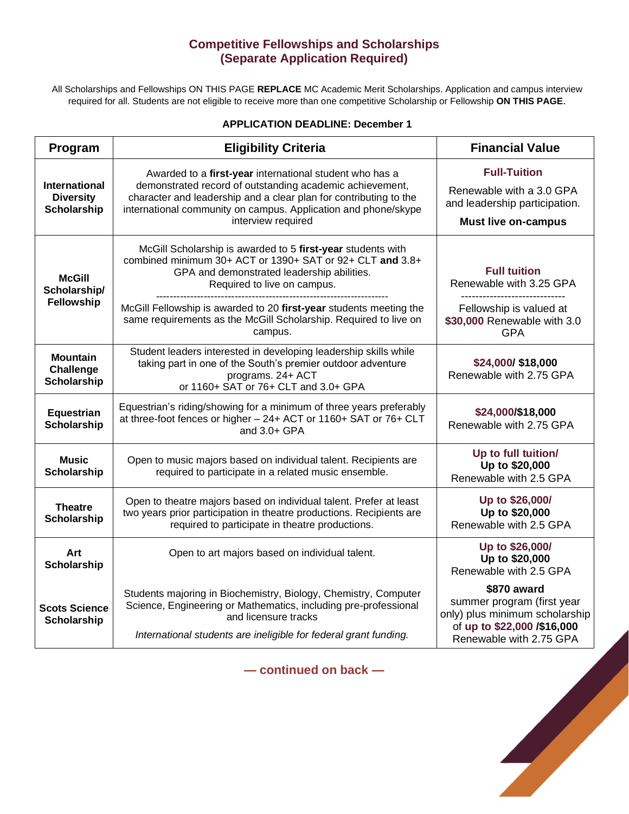### **Competitive Fellowships and Scholarships (Separate Application Required)**

All Scholarships and Fellowships ON THIS PAGE **REPLACE** MC Academic Merit Scholarships. Application and campus interview required for all. Students are not eligible to receive more than one competitive Scholarship or Fellowship **ON THIS PAGE**.

| <b>APPLICATION DEADLINE: December 1</b>                        |                                                                                                                                                                                                                                                                                  |                                                                                                                |  |  |
|----------------------------------------------------------------|----------------------------------------------------------------------------------------------------------------------------------------------------------------------------------------------------------------------------------------------------------------------------------|----------------------------------------------------------------------------------------------------------------|--|--|
| Program                                                        | <b>Eligibility Criteria</b>                                                                                                                                                                                                                                                      | <b>Financial Value</b>                                                                                         |  |  |
| <b>International</b><br><b>Diversity</b><br><b>Scholarship</b> | Awarded to a first-year international student who has a<br>demonstrated record of outstanding academic achievement,<br>character and leadership and a clear plan for contributing to the<br>international community on campus. Application and phone/skype<br>interview required | <b>Full-Tuition</b><br>Renewable with a 3.0 GPA<br>and leadership participation.<br><b>Must live on-campus</b> |  |  |
| <b>McGill</b><br>Scholarship/<br>Fellowship                    | McGill Scholarship is awarded to 5 first-year students with<br>combined minimum 30+ ACT or 1390+ SAT or 92+ CLT and 3.8+<br>GPA and demonstrated leadership abilities.<br>Required to live on campus.                                                                            | <b>Full tuition</b><br>Renewable with 3.25 GPA<br>------------------------                                     |  |  |
|                                                                | McGill Fellowship is awarded to 20 first-year students meeting the<br>same requirements as the McGill Scholarship. Required to live on<br>campus.                                                                                                                                | Fellowship is valued at<br>\$30,000 Renewable with 3.0<br><b>GPA</b>                                           |  |  |
| <b>Mountain</b><br>Challenge<br><b>Scholarship</b>             | Student leaders interested in developing leadership skills while<br>taking part in one of the South's premier outdoor adventure<br>programs. 24+ ACT<br>or 1160+ SAT or 76+ CLT and 3.0+ GPA                                                                                     | \$24,000/ \$18,000<br>Renewable with 2.75 GPA                                                                  |  |  |
| <b>Equestrian</b><br><b>Scholarship</b>                        | Equestrian's riding/showing for a minimum of three years preferably<br>at three-foot fences or higher - 24+ ACT or 1160+ SAT or 76+ CLT<br>and 3.0+ GPA                                                                                                                          | \$24,000/\$18,000<br>Renewable with 2.75 GPA                                                                   |  |  |
| <b>Music</b><br><b>Scholarship</b>                             | Open to music majors based on individual talent. Recipients are<br>required to participate in a related music ensemble.                                                                                                                                                          | Up to full tuition/<br>Up to \$20,000<br>Renewable with 2.5 GPA                                                |  |  |
| <b>Theatre</b><br>Scholarship                                  | Open to theatre majors based on individual talent. Prefer at least<br>two years prior participation in theatre productions. Recipients are<br>required to participate in theatre productions.                                                                                    | Up to \$26,000/<br>Up to \$20,000<br>Renewable with 2.5 GPA                                                    |  |  |
| Art<br>Scholarship                                             | Open to art majors based on individual talent.                                                                                                                                                                                                                                   | Up to \$26,000/<br>Up to \$20,000<br>Renewable with 2.5 GPA                                                    |  |  |
| <b>Scots Science</b>                                           | Students majoring in Biochemistry, Biology, Chemistry, Computer<br>Science, Engineering or Mathematics, including pre-professional                                                                                                                                               | \$870 award<br>summer program (first year<br><b>TANKING CONTRACTOR</b>                                         |  |  |

**— continued on back —**

only) plus minimum scholarship of **up to \$22,000 /\$16,000** Renewable with 2.75 GPA

and licensure tracks *International students are ineligible for federal grant funding.*

**Scholarship**